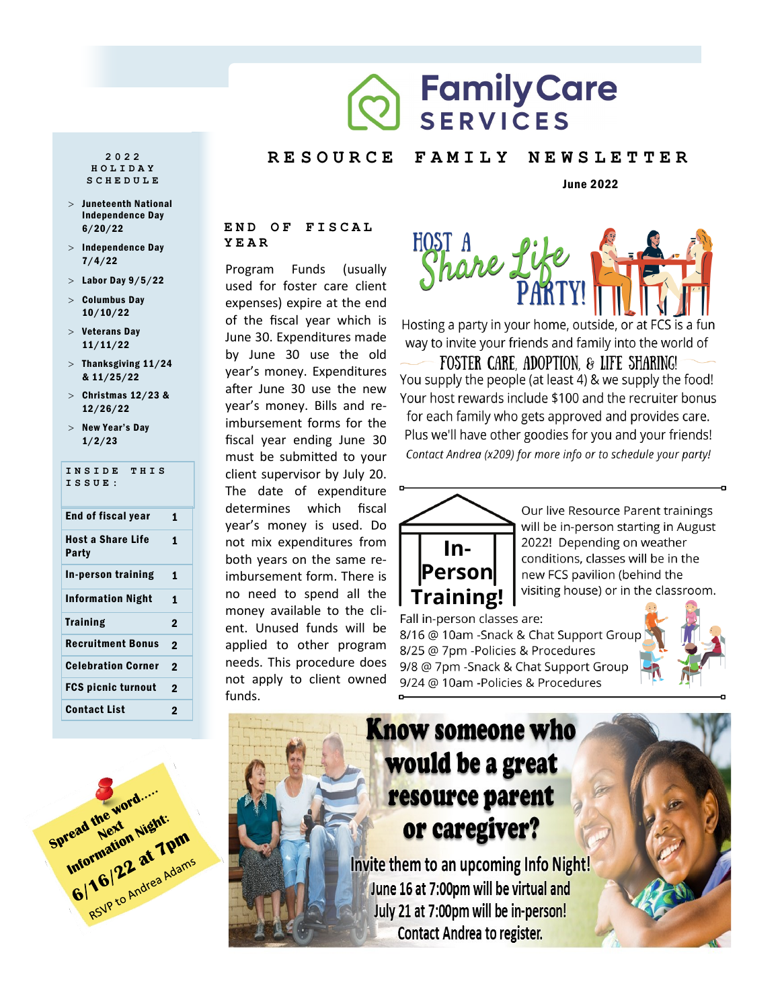# **Family Care SERVICES**

### **R E S O U R C E F A M I L Y N E W S L E T T E R**

## June 2022

## **END OF FISCAL YEAR**

Program Funds (usually used for foster care client expenses) expire at the end of the fiscal year which is June 30. Expenditures made by June 30 use the old year's money. Expenditures after June 30 use the new year's money. Bills and reimbursement forms for the fiscal year ending June 30 must be submitted to your client supervisor by July 20. The date of expenditure determines which fiscal year's money is used. Do not mix expenditures from both years on the same reimbursement form. There is no need to spend all the money available to the client. Unused funds will be applied to other program needs. This procedure does not apply to client owned funds.



Hosting a party in your home, outside, or at FCS is a fun way to invite your friends and family into the world of

FOSTER CARE, ADOPTION, & LIFE SHARING! You supply the people (at least 4) & we supply the food! Your host rewards include \$100 and the recruiter bonus for each family who gets approved and provides care. Plus we'll have other goodies for you and your friends! Contact Andrea (x209) for more info or to schedule your party!



Our live Resource Parent trainings will be in-person starting in August 2022! Depending on weather conditions, classes will be in the new FCS pavilion (behind the visiting house) or in the classroom.

Fall in-person classes are: 8/16 @ 10am -Snack & Chat Support Group 8/25 @ 7pm - Policies & Procedures 9/8 @ 7pm - Snack & Chat Support Group

9/24 @ 10am -Policies & Procedures





**2 0 2 2 H O L I D A Y S C H E D U L E**

- Juneteenth National Independence Day 6/20/22
- $>$  Independence Day 7/4/22
- $>$  Labor Day  $9/5/22$
- $>$  Columbus Day 10/10/22
- $>$  Veterans Day 11/11/22
- $>$  Thanksgiving 11/24 & 11/25/22
- $>$  Christmas 12/23 & 12/26/22
- $>$  New Year's Day 1/2/23

# **INSIDE THIS ISSUE:** End of fiscal year 1 Host a Share Life

| Host a Share Life<br>Party | 1            |
|----------------------------|--------------|
| In-person training         | 1            |
| <b>Information Night</b>   | 1            |
| <b>Training</b>            | $\mathbf{2}$ |
| <b>Recruitment Bonus</b>   | $\mathbf{2}$ |
| <b>Celebration Corner</b>  | $\mathbf{2}$ |
| FCS picnic turnout         | 2            |
| <b>Contact List</b>        | 2            |